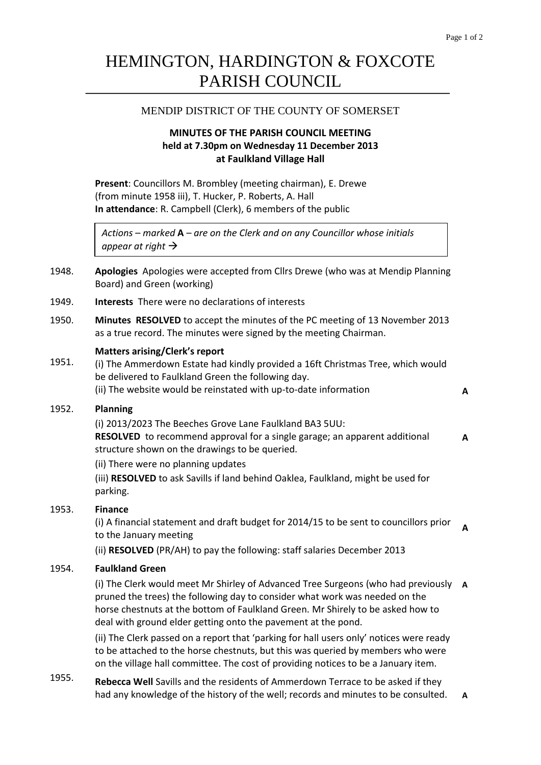# HEMINGTON, HARDINGTON & FOXCOTE PARISH COUNCIL

# MENDIP DISTRICT OF THE COUNTY OF SOMERSET

# **MINUTES OF THE PARISH COUNCIL MEETING held at 7.30pm on Wednesday 11 December 2013 at Faulkland Village Hall**

**Present**: Councillors M. Brombley (meeting chairman), E. Drewe (from minute 1958 iii), T. Hucker, P. Roberts, A. Hall **In attendance**: R. Campbell (Clerk), 6 members of the public

*Actions – marked* **A** *– are on the Clerk and on any Councillor whose initials appear at right*

- 1948. **Apologies** Apologies were accepted from Cllrs Drewe (who was at Mendip Planning Board) and Green (working)
- 1949. **Interests** There were no declarations of interests
- 1950. **Minutes RESOLVED** to accept the minutes of the PC meeting of 13 November 2013 as a true record. The minutes were signed by the meeting Chairman.

### **Matters arising/Clerk's report**

1951. (i) The Ammerdown Estate had kindly provided a 16ft Christmas Tree, which would be delivered to Faulkland Green the following day. (ii) The website would be reinstated with up-to-date information **A**

**A**

## 1952. **Planning**

(i) 2013/2023 The Beeches Grove Lane Faulkland BA3 5UU: **RESOLVED** to recommend approval for a single garage; an apparent additional structure shown on the drawings to be queried. **A**

(ii) There were no planning updates

(iii) **RESOLVED** to ask Savills if land behind Oaklea, Faulkland, might be used for parking.

## 1953. **Finance**

(i) A financial statement and draft budget for 2014/15 to be sent to councillors prior to the January meeting

(ii) **RESOLVED** (PR/AH) to pay the following: staff salaries December 2013

#### 1954. **Faulkland Green**

(i) The Clerk would meet Mr Shirley of Advanced Tree Surgeons (who had previously **A** pruned the trees) the following day to consider what work was needed on the horse chestnuts at the bottom of Faulkland Green. Mr Shirely to be asked how to deal with ground elder getting onto the pavement at the pond.

(ii) The Clerk passed on a report that 'parking for hall users only' notices were ready to be attached to the horse chestnuts, but this was queried by members who were on the village hall committee. The cost of providing notices to be a January item.

1955. **Rebecca Well** Savills and the residents of Ammerdown Terrace to be asked if they had any knowledge of the history of the well; records and minutes to be consulted. **A**